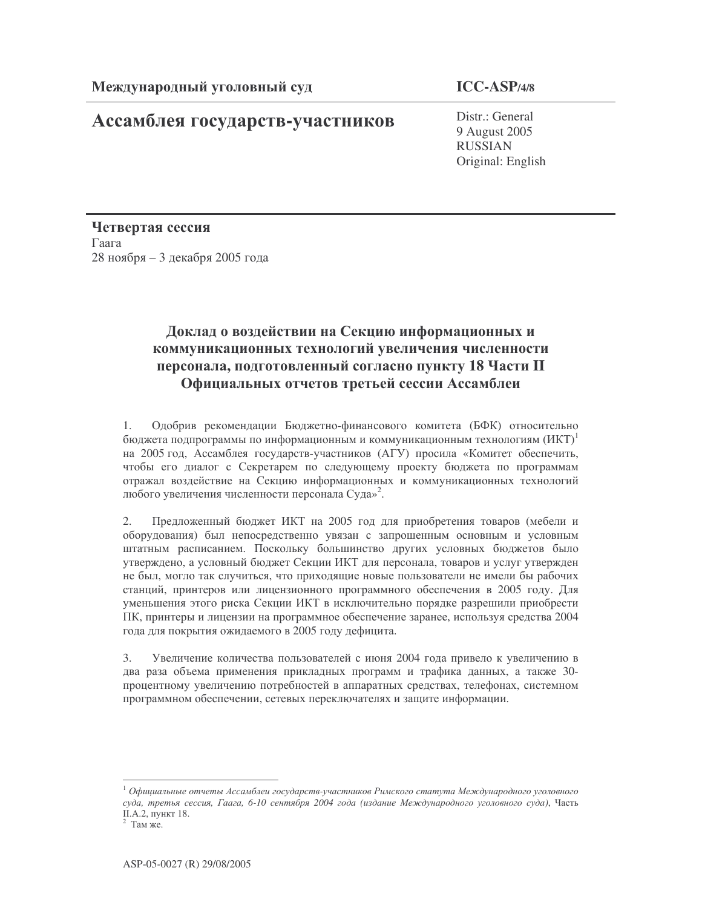## Ассамблея государств-участников

Distr.: General 9 August 2005 **RUSSIAN** Original: English

Четвертая сессия Гаага 28 ноября - 3 декабря 2005 года

## Доклад о воздействии на Секцию информационных и коммуникационных технологий увеличения численности персонала, подготовленный согласно пункту 18 Части II Официальных отчетов третьей сессии Ассамблеи

1. Одобрив рекомендации Бюджетно-финансового комитета (БФК) относительно бюджета подпрограммы по информационным и коммуникационным технологиям  $(MKT)^{1}$ на 2005 год, Ассамблея государств-участников (АГУ) просила «Комитет обеспечить, чтобы его диалог с Секретарем по следующему проекту бюджета по программам отражал воздействие на Секцию информационных и коммуникационных технологий любого увеличения численности персонала Суда»<sup>2</sup>.

Предложенный бюджет ИКТ на 2005 год для приобретения товаров (мебели и  $2.$ оборудования) был непосредственно увязан с запрошенным основным и условным штатным расписанием. Поскольку большинство других условных бюджетов было утверждено, а условный бюджет Секции ИКТ для персонала, товаров и услуг утвержден не был, могло так случиться, что приходящие новые пользователи не имели бы рабочих станций, принтеров или лицензионного программного обеспечения в 2005 году. Для уменьшения этого риска Секции ИКТ в исключительно порядке разрешили приобрести ПК, принтеры и лицензии на программное обеспечение заранее, используя средства 2004 года для покрытия ожидаемого в 2005 году дефицита.

Увеличение количества пользователей с июня 2004 года привело к увеличению в 3. два раза объема применения прикладных программ и трафика данных, а также 30процентному увеличению потребностей в аппаратных средствах, телефонах, системном программном обеспечении, сетевых переключателях и защите информации.

 $^1$  Официальные отчеты Ассамблеи государств-участников Римского статута Международного уголовного суда, третья сессия, Гаага, 6-10 сентября 2004 года (издание Международного уголовного суда), Часть II.А.2, пункт 18.

 $2$  Там же.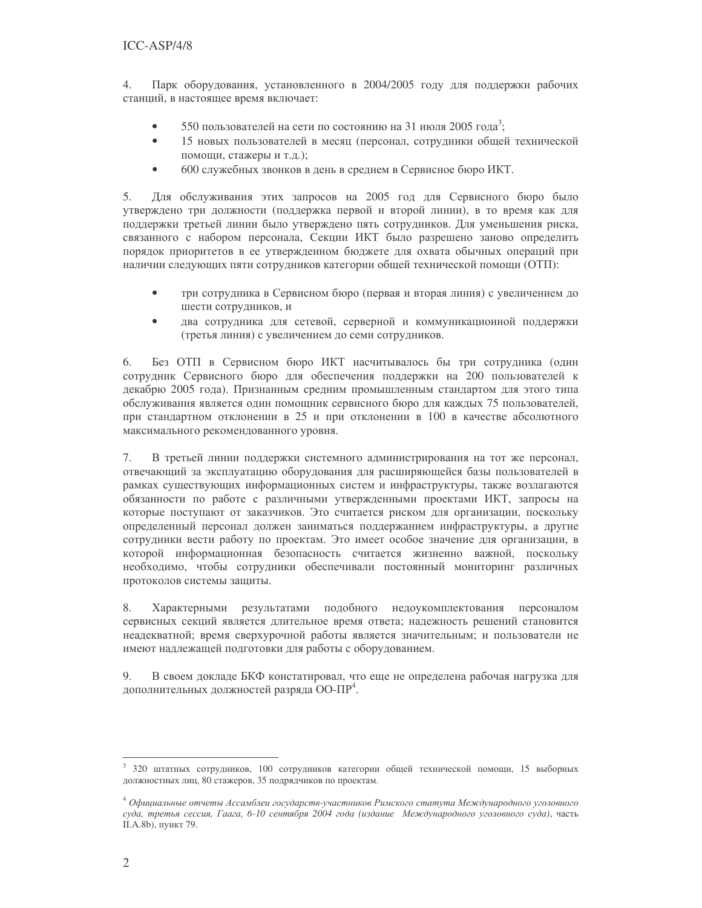$\overline{4}$ . Парк оборудования, установленного в 2004/2005 году для поддержки рабочих станций, в настоящее время включает:

- 550 пользователей на сети по состоянию на 31 июля 2005 года<sup>3</sup>;  $\bullet$
- $\bullet$ 15 новых пользователей в месяц (персонал, сотрудники общей технической помощи, стажеры и т.д.);
- 600 служебных звонков в день в среднем в Сервисное бюро ИКТ.  $\bullet$

5. Для обслуживания этих запросов на 2005 год для Сервисного бюро было утверждено три должности (поддержка первой и второй линии), в то время как для поддержки третьей линии было утверждено пять сотрудников. Для уменьшения риска, связанного с набором персонала, Секции ИКТ было разрешено заново определить порядок приоритетов в ее утвержденном бюджете для охвата обычных операций при наличии следующих пяти сотрудников категории общей технической помощи (ОТП):

- $\bullet$ три сотрудника в Сервисном бюро (первая и вторая линия) с увеличением до шести сотрудников, и
- два сотрудника для сетевой, серверной и коммуникационной поддержки (третья линия) с увеличением до семи сотрудников.

Без ОТП в Сервисном бюро ИКТ насчитывалось бы три сотрудника (один 6. сотрудник Сервисного бюро для обеспечения поддержки на 200 пользователей к декабрю 2005 года). Признанным средним промышленным стандартом для этого типа обслуживания является один помощник сервисного бюро для каждых 75 пользователей, при стандартном отклонении в 25 и при отклонении в 100 в качестве абсолютного максимального рекомендованного уровня.

В третьей линии поддержки системного администрирования на тот же персонал, 7. отвечающий за эксплуатацию оборудования для расширяющейся базы пользователей в рамках существующих информационных систем и инфраструктуры, также возлагаются обязанности по работе с различными утвержденными проектами ИКТ, запросы на которые поступают от заказчиков. Это считается риском для организации, поскольку определенный персонал должен заниматься поддержанием инфраструктуры, а другие сотрудники вести работу по проектам. Это имеет особое значение для организации, в которой информационная безопасность считается жизненно важной, поскольку необходимо, чтобы сотрудники обеспечивали постоянный мониторинг различных протоколов системы защиты.

8. Характерными результатами подобного недоукомплектования персоналом сервисных секций является длительное время ответа; надежность решений становится неадекватной; время сверхурочной работы является значительным; и пользователи не имеют надлежащей подготовки для работы с оборудованием.

В своем докладе БКФ констатировал, что еще не определена рабочая нагрузка для 9. дополнительных должностей разряда ОО-ПР<sup>4</sup>.

<sup>3 320</sup> штатных сотрудников, 100 сотрудников категории общей технической помощи, 15 выборных должностных лиц, 80 стажеров, 35 подрядчиков по проектам.

<sup>4</sup> Официальные отчеты Ассамблеи государств-участников Римского статута Международного уголовного суда, третья сессия, Гаага, 6-10 сентября 2004 года (издание Международного уголовного суда), часть II.A.8b), пункт 79.